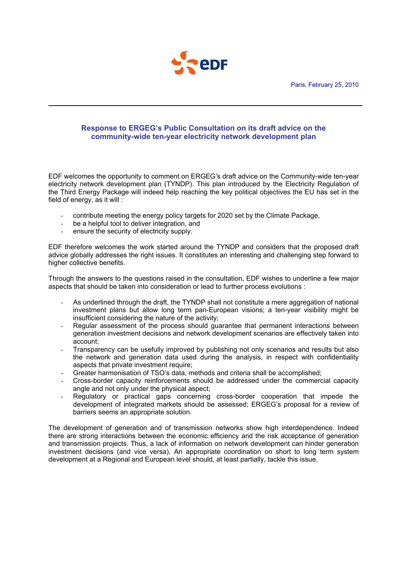

# **Response to ERGEG's Public Consultation on its draft advice on the community-wide ten-year electricity network development plan**

EDF welcomes the opportunity to comment on ERGEG's draft advice on the Community-wide ten-year electricity network development plan (TYNDP). This plan introduced by the Electricity Regulation of the Third Energy Package will indeed help reaching the key political objectives the EU has set in the field of energy, as it will :

- contribute meeting the energy policy targets for 2020 set by the Climate Package,
- be a helpful tool to deliver integration, and
- ensure the security of electricity supply.

EDF therefore welcomes the work started around the TYNDP and considers that the proposed draft advice globally addresses the right issues. It constitutes an interesting and challenging step forward to higher collective benefits.

Through the answers to the questions raised in the consultation, EDF wishes to underline a few major aspects that should be taken into consideration or lead to further process evolutions :

- As underlined through the draft, the TYNDP shall not constitute a mere aggregation of national investment plans but allow long term pan-European visions; a ten-year visibility might be insufficient considering the nature of the activity;
- Regular assessment of the process should guarantee that permanent interactions between generation investment decisions and network development scenarios are effectively taken into account;
- Transparency can be usefully improved by publishing not only scenarios and results but also the network and generation data used during the analysis, in respect with confidentiality aspects that private investment require;
- Greater harmonisation of TSO's data, methods and criteria shall be accomplished;
- Cross-border capacity reinforcements should be addressed under the commercial capacity angle and not only under the physical aspect;
- Regulatory or practical gaps concerning cross-border cooperation that impede the development of integrated markets should be assessed; ERGEG's proposal for a review of barriers seems an appropriate solution.

The development of generation and of transmission networks show high interdependence. Indeed there are strong interactions between the economic efficiency and the risk acceptance of generation and transmission projects. Thus, a lack of information on network development can hinder generation investment decisions (and vice versa). An appropriate coordination on short to long term system development at a Regional and European level should, at least partially, tackle this issue.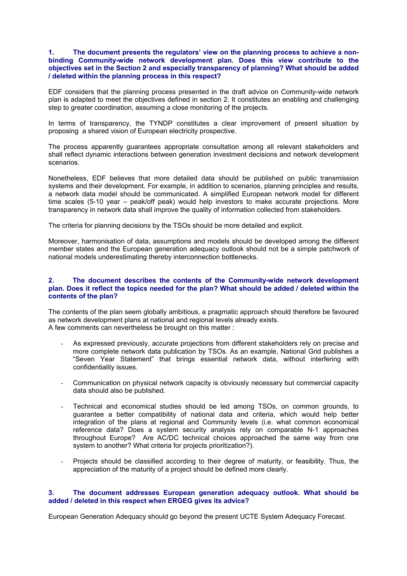# **1. The document presents the regulators' view on the planning process to achieve a nonbinding Community-wide network development plan. Does this view contribute to the objectives set in the Section 2 and especially transparency of planning? What should be added / deleted within the planning process in this respect?**

EDF considers that the planning process presented in the draft advice on Community-wide network plan is adapted to meet the objectives defined in section 2. It constitutes an enabling and challenging step to greater coordination, assuming a close monitoring of the projects.

In terms of transparency, the TYNDP constitutes a clear improvement of present situation by proposing a shared vision of European electricity prospective.

The process apparently guarantees appropriate consultation among all relevant stakeholders and shall reflect dynamic interactions between generation investment decisions and network development scenarios.

Nonetheless, EDF believes that more detailed data should be published on public transmission systems and their development. For example, in addition to scenarios, planning principles and results, a network data model should be communicated. A simplified European network model for different time scales (5-10 year – peak/off peak) would help investors to make accurate projections. More transparency in network data shall improve the quality of information collected from stakeholders.

The criteria for planning decisions by the TSOs should be more detailed and explicit.

Moreover, harmonisation of data, assumptions and models should be developed among the different member states and the European generation adequacy outlook should not be a simple patchwork of national models underestimating thereby interconnection bottlenecks.

### **2. The document describes the contents of the Community-wide network development plan. Does it reflect the topics needed for the plan? What should be added / deleted within the contents of the plan?**

The contents of the plan seem globally ambitious, a pragmatic approach should therefore be favoured as network development plans at national and regional levels already exists*.*  A few comments can nevertheless be brought on this matter :

- As expressed previously, accurate projections from different stakeholders rely on precise and more complete network data publication by TSOs. As an example, National Grid publishes a "Seven Year Statement" that brings essential network data, without interfering with confidentiality issues.
- Communication on physical network capacity is obviously necessary but commercial capacity data should also be published.
- Technical and economical studies should be led among TSOs, on common grounds, to guarantee a better compatibility of national data and criteria, which would help better integration of the plans at regional and Community levels (i.e. what common economical reference data? Does a system security analysis rely on comparable N-1 approaches throughout Europe? Are AC/DC technical choices approached the same way from one system to another? What criteria for projects prioritization?).
- Projects should be classified according to their degree of maturity, or feasibility. Thus, the appreciation of the maturity of a project should be defined more clearly.

# **3. The document addresses European generation adequacy outlook. What should be added / deleted in this respect when ERGEG gives its advice?**

European Generation Adequacy should go beyond the present UCTE System Adequacy Forecast.